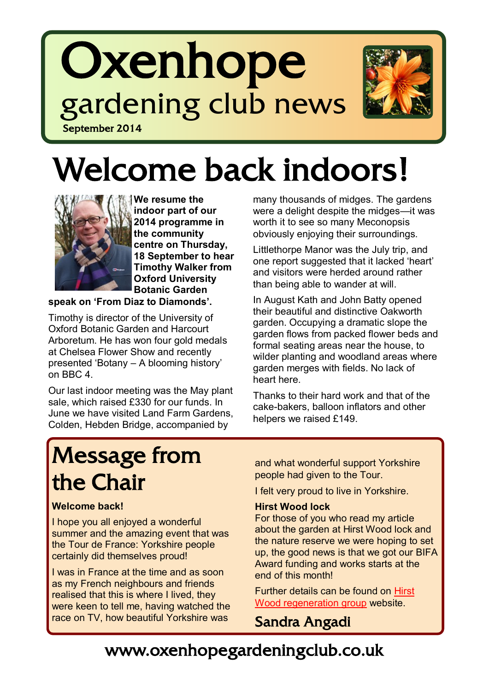# **Oxenhope** gardening club news September 2014



# Welcome back indoors!



**We resume the indoor part of our 2014 programme in the community centre on Thursday, 18 September to hear Timothy Walker from Oxford University Botanic Garden** 

**speak on 'From Diaz to Diamonds'.**

Timothy is director of the University of Oxford Botanic Garden and Harcourt Arboretum. He has won four gold medals at Chelsea Flower Show and recently presented 'Botany – A blooming history' on BBC 4.

Our last indoor meeting was the May plant sale, which raised £330 for our funds. In June we have visited Land Farm Gardens, Colden, Hebden Bridge, accompanied by

many thousands of midges. The gardens were a delight despite the midges—it was worth it to see so many Meconopsis obviously enjoying their surroundings.

Littlethorpe Manor was the July trip, and one report suggested that it lacked 'heart' and visitors were herded around rather than being able to wander at will.

In August Kath and John Batty opened their beautiful and distinctive Oakworth garden. Occupying a dramatic slope the garden flows from packed flower beds and formal seating areas near the house, to wilder planting and woodland areas where garden merges with fields. No lack of heart here.

Thanks to their hard work and that of the cake-bakers, balloon inflators and other helpers we raised £149.

## Message from the Chair

#### **Welcome back!**

I hope you all enjoyed a wonderful summer and the amazing event that was the Tour de France: Yorkshire people certainly did themselves proud!

I was in France at the time and as soon as my French neighbours and friends realised that this is where I lived, they were keen to tell me, having watched the race on TV, how beautiful Yorkshire was

and what wonderful support Yorkshire people had given to the Tour.

I felt very proud to live in Yorkshire.

#### **Hirst Wood lock**

For those of you who read my article about the garden at Hirst Wood lock and the nature reserve we were hoping to set up, the good news is that we got our BIFA Award funding and works starts at the end of this month!

Further details can be found on [Hirst](http://www.hirstwoodrg.co.uk/)  [Wood regeneration group](http://www.hirstwoodrg.co.uk/) website.

Sandra Angadi

## www.oxenhopegardeningclub.co.uk